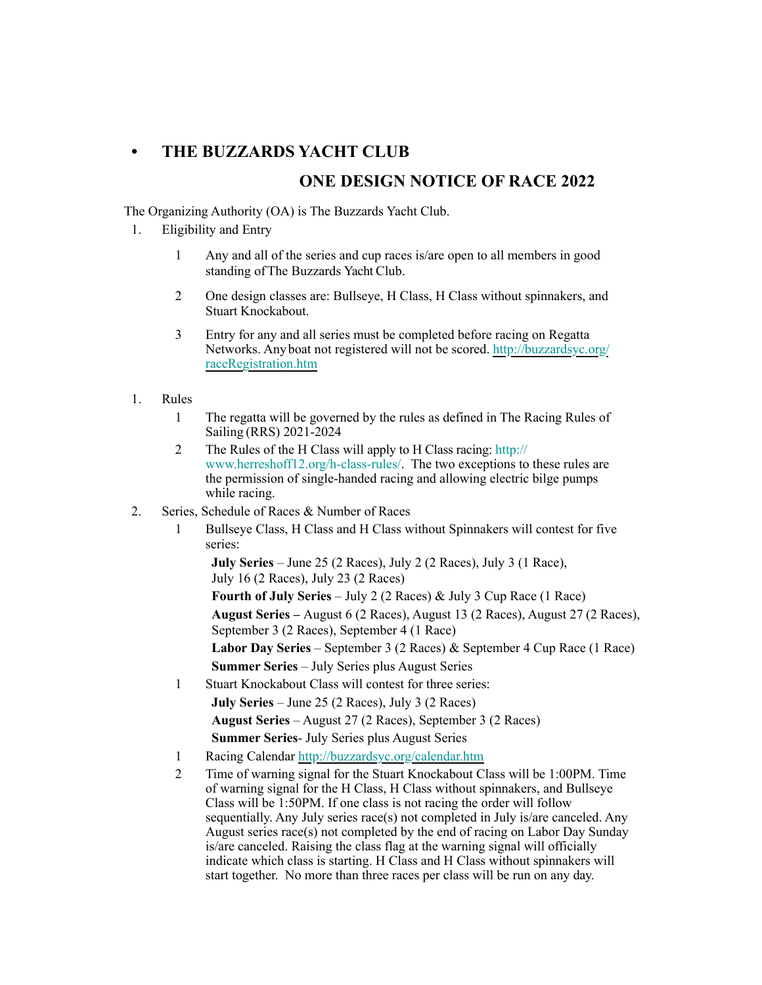## **• THE BUZZARDS YACHT CLUB**

## **ONE DESIGN NOTICE OF RACE 2022**

The Organizing Authority (OA) is The Buzzards Yacht Club.

- 1. Eligibility and Entry
	- 1 Any and all of the series and cup races is/are open to all members in good standing ofThe Buzzards Yacht Club.
	- 2 One design classes are: Bullseye, H Class, H Class without spinnakers, and Stuart Knockabout.
	- 3 Entry for any and all series must be completed before racing on Regatta Networks. Anyboat not registered will not be scored. [http://buzzardsyc.org/](http://buzzardsyc.org/raceRegistration.htm) [raceRegistration.htm](http://buzzardsyc.org/raceRegistration.htm)
- 1. Rules
	- 1 The regatta will be governed by the rules as defined in The Racing Rules of Sailing (RRS) 2021-2024
	- 2 The Rules of the H Class will apply to H Class racing: [http://](http://www.herreshoff12.org/h-class-rules/) [www.herreshoff12.org/h-class-rules/](http://www.herreshoff12.org/h-class-rules/). The two exceptions to these rules are the permission of single-handed racing and allowing electric bilge pumps while racing.
- 2. Series, Schedule of Races & Number of Races
	- 1 Bullseye Class, H Class and H Class without Spinnakers will contest for five series:

**July Series** – June 25 (2 Races), July 2 (2 Races), July 3 (1 Race), July 16 (2 Races), July 23 (2 Races)

**Fourth of July Series** – July 2 (2 Races) & July 3 Cup Race (1 Race)

**August Series –** August 6 (2 Races), August 13 (2 Races), August 27 (2 Races), September 3 (2 Races), September 4 (1 Race)

**Labor Day Series** – September 3 (2 Races) & September 4 Cup Race (1 Race) **Summer Series** – July Series plus August Series

1 Stuart Knockabout Class will contest for three series:

**July Series** – June 25 (2 Races), July 3 (2 Races)

**August Series** – August 27 (2 Races), September 3 (2 Races)

- **Summer Series** July Series plus August Series 1 Racing Calendar <http://buzzardsyc.org/calendar.htm>
- 2 Time of warning signal for the Stuart Knockabout Class will be 1:00PM. Time of warning signal for the H Class, H Class without spinnakers, and Bullseye Class will be 1:50PM. If one class is not racing the order will follow sequentially. Any July series race(s) not completed in July is/are canceled. Any August series race(s) not completed by the end of racing on Labor Day Sunday is/are canceled. Raising the class flag at the warning signal will officially indicate which class is starting. H Class and H Class without spinnakers will start together. No more than three races per class will be run on any day.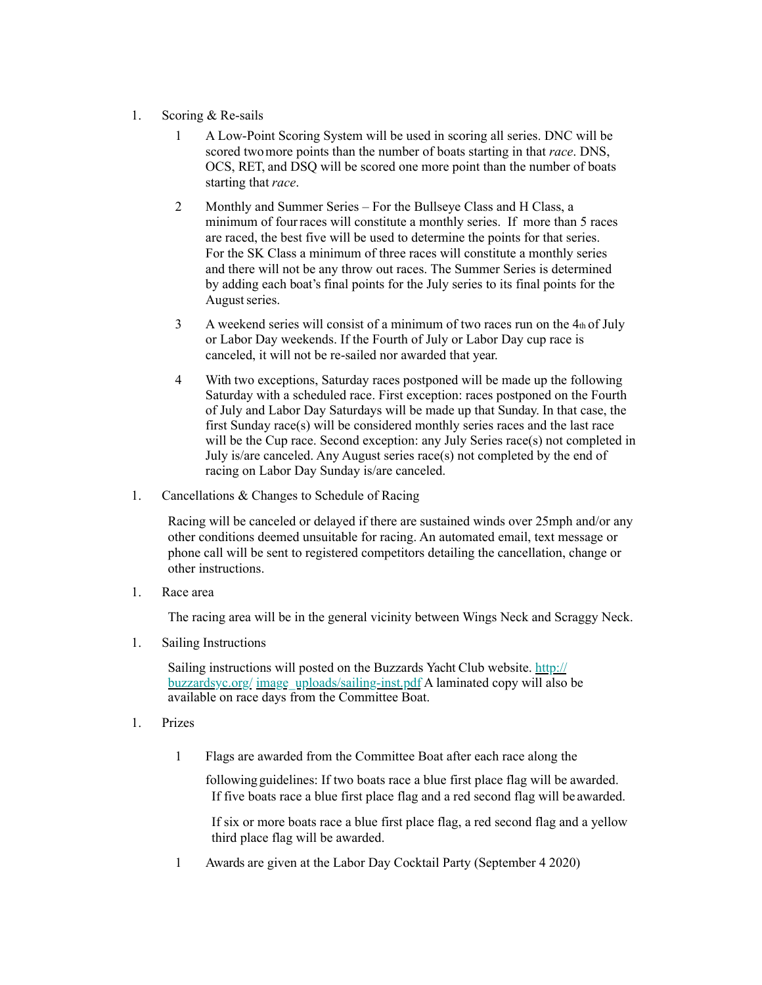## 1. Scoring & Re-sails

1 A Low-Point Scoring System will be used in scoring all series. DNC will be scored twomore points than the number of boats starting in that *race*. DNS, OCS, RET, and DSQ will be scored one more point than the number of boats starting that *race*.

start together. No more than three races per class will be run on any day.

- 2 Monthly and Summer Series For the Bullseye Class and H Class, a minimum of four races will constitute a monthly series. If more than 5 races are raced, the best five will be used to determine the points for that series. For the SK Class a minimum of three races will constitute a monthly series and there will not be any throw out races. The Summer Series is determined by adding each boat's final points for the July series to its final points for the August series.
- $3$  A weekend series will consist of a minimum of two races run on the  $4<sub>th</sub>$  of July or Labor Day weekends. If the Fourth of July or Labor Day cup race is canceled, it will not be re-sailed nor awarded that year.
- 4 With two exceptions, Saturday races postponed will be made up the following Saturday with a scheduled race. First exception: races postponed on the Fourth of July and Labor Day Saturdays will be made up that Sunday. In that case, the first Sunday race(s) will be considered monthly series races and the last race will be the Cup race. Second exception: any July Series race(s) not completed in July is/are canceled. Any August series race(s) not completed by the end of racing on Labor Day Sunday is/are canceled.
- 1. Cancellations & Changes to Schedule of Racing

Racing will be canceled or delayed if there are sustained winds over 25mph and/or any other conditions deemed unsuitable for racing. An automated email, text message or phone call will be sent to registered competitors detailing the cancellation, change or other instructions.

1. Race area

The racing area will be in the general vicinity between Wings Neck and Scraggy Neck.

1. Sailing Instructions

Sailing instructions will posted on the Buzzards Yacht Club website. [http://](http://buzzardsyc.org/) [buzzardsyc.org/](http://buzzardsyc.org/) image\_uploads/sailing-inst.pdf A laminated copy will also be available on race days from the Committee Boat.

- 1. Prizes
	- 1 Flags are awarded from the Committee Boat after each race along the

following guidelines: If two boats race a blue first place flag will be awarded. If five boats race a blue first place flag and a red second flag will be awarded.

If six or more boats race a blue first place flag, a red second flag and a yellow third place flag will be awarded.

1 Awards are given at the Labor Day Cocktail Party (September 4 2020)